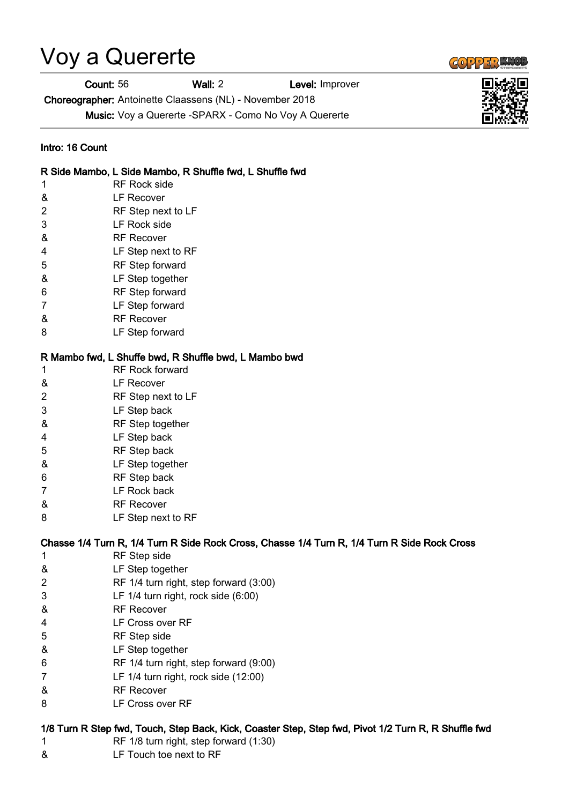# Voy a Quererte

Count: 56 Wall: 2 Level: Improver

Choreographer: Antoinette Claassens (NL) - November 2018

Music: Voy a Quererte -SPARX - Como No Voy A Quererte

#### Intro: 16 Count

#### R Side Mambo, L Side Mambo, R Shuffle fwd, L Shuffle fwd

- 1 RF Rock side
- & LF Recover
- 2 RF Step next to LF
- 3 LF Rock side
- & RF Recover
- 4 LF Step next to RF
- 5 RF Step forward
- & LF Step together
- 6 RF Step forward
- 7 LF Step forward
- & RF Recover
- 8 LF Step forward

## R Mambo fwd, L Shuffe bwd, R Shuffle bwd, L Mambo bwd

- 1 RF Rock forward
- & LF Recover
- 2 RF Step next to LF
- 3 LF Step back
- & RF Step together
- 4 LF Step back
- 5 RF Step back
- & LF Step together
- 6 RF Step back
- 7 LF Rock back
- & RF Recover
- 8 LF Step next to RF

## Chasse 1/4 Turn R, 1/4 Turn R Side Rock Cross, Chasse 1/4 Turn R, 1/4 Turn R Side Rock Cross

- 1 RF Step side
- & LF Step together
- 2 RF 1/4 turn right, step forward (3:00)
- 3 LF 1/4 turn right, rock side (6:00)
- & RF Recover
- 4 LF Cross over RF
- 5 RF Step side
- & LF Step together
- 6 RF 1/4 turn right, step forward (9:00)
- 7 LF 1/4 turn right, rock side (12:00)
- & RF Recover
- 8 LF Cross over RF

## 1/8 Turn R Step fwd, Touch, Step Back, Kick, Coaster Step, Step fwd, Pivot 1/2 Turn R, R Shuffle fwd

- 1 RF 1/8 turn right, step forward (1:30)
- & LF Touch toe next to RF



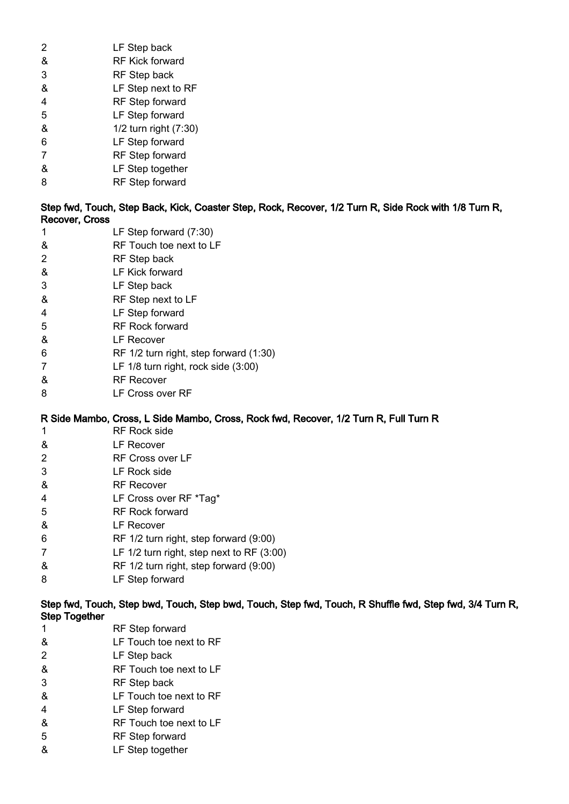| 2 | LF Step back           |
|---|------------------------|
| & | <b>RF Kick forward</b> |
| 3 | <b>RF</b> Step back    |
| & | LF Step next to RF     |
| 4 | RF Step forward        |
| 5 | LF Step forward        |
| & | 1/2 turn right (7:30)  |
| 6 | LF Step forward        |
| 7 | RF Step forward        |
| & | LF Step together       |

8 RF Step forward

Step fwd, Touch, Step Back, Kick, Coaster Step, Rock, Recover, 1/2 Turn R, Side Rock with 1/8 Turn R, Recover, Cross

- 1 LF Step forward (7:30)
- & RF Touch toe next to LF
- 2 RF Step back
- & LF Kick forward
- 3 LF Step back
- & RF Step next to LF
- 4 LF Step forward
- 5 RF Rock forward
- & LF Recover
- 6 RF 1/2 turn right, step forward (1:30)
- 7 LF 1/8 turn right, rock side (3:00)
- & RF Recover
- 8 LF Cross over RF

## R Side Mambo, Cross, L Side Mambo, Cross, Rock fwd, Recover, 1/2 Turn R, Full Turn R

- 1 RF Rock side
- & LF Recover
- 2 RF Cross over LF
- 3 LF Rock side
- & RF Recover
- 4 LF Cross over RF \*Tag\*
- 5 RF Rock forward
- & LF Recover
- 6 RF 1/2 turn right, step forward (9:00)
- 7 LF 1/2 turn right, step next to RF (3:00)
- & RF 1/2 turn right, step forward (9:00)
- 8 LF Step forward

Step fwd, Touch, Step bwd, Touch, Step bwd, Touch, Step fwd, Touch, R Shuffle fwd, Step fwd, 3/4 Turn R, Step Together

- 1 RF Step forward
- & LF Touch toe next to RF
- 2 LF Step back
- & RF Touch toe next to LF
- 3 RF Step back
- & LF Touch toe next to RF
- 4 LF Step forward
- & RF Touch toe next to LF
- 5 RF Step forward
- & LF Step together